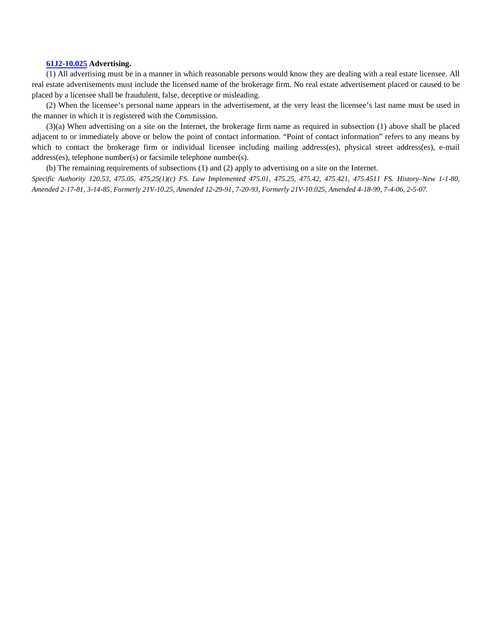#### **[61J2-10.025](http://www.flrules.com/gateway/ruleNo.asp?id=61J2-10.025) Advertising.**

(1) All advertising must be in a manner in which reasonable persons would know they are dealing with a real estate licensee. All real estate advertisements must include the licensed name of the brokerage firm. No real estate advertisement placed or caused to be placed by a licensee shall be fraudulent, false, deceptive or misleading.

(2) When the licensee's personal name appears in the advertisement, at the very least the licensee's last name must be used in the manner in which it is registered with the Commission.

(3)(a) When advertising on a site on the Internet, the brokerage firm name as required in subsection (1) above shall be placed adjacent to or immediately above or below the point of contact information. "Point of contact information" refers to any means by which to contact the brokerage firm or individual licensee including mailing address(es), physical street address(es), e-mail address(es), telephone number(s) or facsimile telephone number(s).

(b) The remaining requirements of subsections (1) and (2) apply to advertising on a site on the Internet.

*Specific Authority 120.53, 475.05, 475.25(1)(c) FS. Law Implemented 475.01, 475.25, 475.42, 475.421, 475.4511 FS. History–New 1-1-80, Amended 2-17-81, 3-14-85, Formerly 21V-10.25, Amended 12-29-91, 7-20-93, Formerly 21V-10.025, Amended 4-18-99, 7-4-06, 2-5-07.*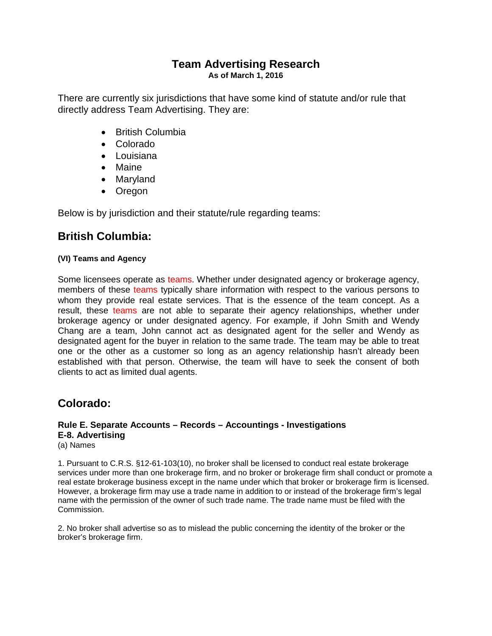## **Team Advertising Research As of March 1, 2016**

There are currently six jurisdictions that have some kind of statute and/or rule that directly address Team Advertising. They are:

- British Columbia
- Colorado
- Louisiana
- Maine
- Maryland
- Oregon

Below is by jurisdiction and their statute/rule regarding teams:

# **British Columbia:**

## **(VI) Teams and Agency**

Some licensees operate as teams. Whether under designated agency or brokerage agency, members of these teams typically share information with respect to the various persons to whom they provide real estate services. That is the essence of the team concept. As a result, these teams are not able to separate their agency relationships, whether under brokerage agency or under designated agency. For example, if John Smith and Wendy Chang are a team, John cannot act as designated agent for the seller and Wendy as designated agent for the buyer in relation to the same trade. The team may be able to treat one or the other as a customer so long as an agency relationship hasn't already been established with that person. Otherwise, the team will have to seek the consent of both clients to act as limited dual agents.

# **Colorado:**

#### **Rule E. Separate Accounts – Records – Accountings - Investigations E-8. Advertising**  (a) Names

1. Pursuant to C.R.S. §12-61-103(10), no broker shall be licensed to conduct real estate brokerage services under more than one brokerage firm, and no broker or brokerage firm shall conduct or promote a real estate brokerage business except in the name under which that broker or brokerage firm is licensed. However, a brokerage firm may use a trade name in addition to or instead of the brokerage firm's legal name with the permission of the owner of such trade name. The trade name must be filed with the Commission.

2. No broker shall advertise so as to mislead the public concerning the identity of the broker or the broker's brokerage firm.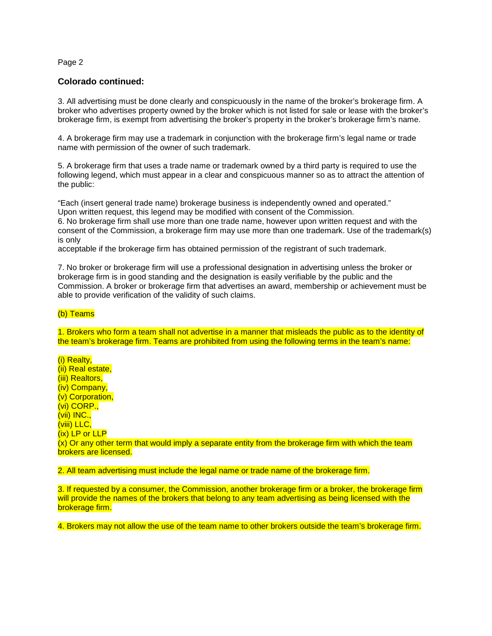#### Page 2

#### **Colorado continued:**

3. All advertising must be done clearly and conspicuously in the name of the broker's brokerage firm. A broker who advertises property owned by the broker which is not listed for sale or lease with the broker's brokerage firm, is exempt from advertising the broker's property in the broker's brokerage firm's name.

4. A brokerage firm may use a trademark in conjunction with the brokerage firm's legal name or trade name with permission of the owner of such trademark.

5. A brokerage firm that uses a trade name or trademark owned by a third party is required to use the following legend, which must appear in a clear and conspicuous manner so as to attract the attention of the public:

"Each (insert general trade name) brokerage business is independently owned and operated." Upon written request, this legend may be modified with consent of the Commission.

6. No brokerage firm shall use more than one trade name, however upon written request and with the consent of the Commission, a brokerage firm may use more than one trademark. Use of the trademark(s) is only

acceptable if the brokerage firm has obtained permission of the registrant of such trademark.

7. No broker or brokerage firm will use a professional designation in advertising unless the broker or brokerage firm is in good standing and the designation is easily verifiable by the public and the Commission. A broker or brokerage firm that advertises an award, membership or achievement must be able to provide verification of the validity of such claims.

#### (b) Teams

1. Brokers who form a team shall not advertise in a manner that misleads the public as to the identity of the team's brokerage firm. Teams are prohibited from using the following terms in the team's name:

(i) Realty, (ii) Real estate, (iii) Realtors, (iv) Company, (v) Corporation, (vi) CORP., (vii) INC., (viii) LLC, (ix) LP or LLP

 $(x)$  Or any other term that would imply a separate entity from the brokerage firm with which the team brokers are licensed.

2. All team advertising must include the legal name or trade name of the brokerage firm.

3. If requested by a consumer, the Commission, another brokerage firm or a broker, the brokerage firm will provide the names of the brokers that belong to any team advertising as being licensed with the brokerage firm.

4. Brokers may not allow the use of the team name to other brokers outside the team's brokerage firm.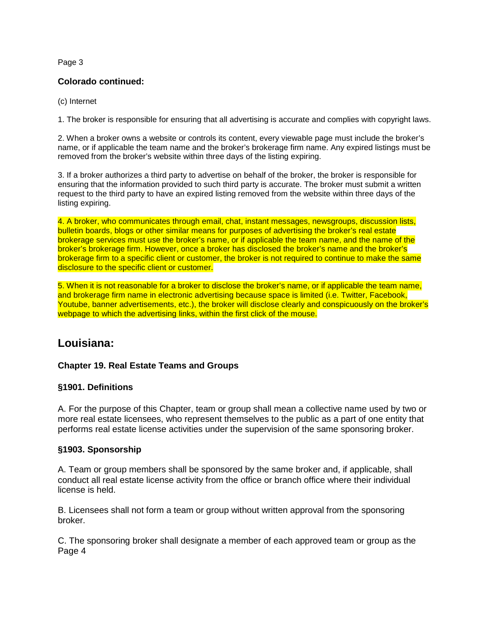#### Page 3

#### **Colorado continued:**

(c) Internet

1. The broker is responsible for ensuring that all advertising is accurate and complies with copyright laws.

2. When a broker owns a website or controls its content, every viewable page must include the broker's name, or if applicable the team name and the broker's brokerage firm name. Any expired listings must be removed from the broker's website within three days of the listing expiring.

3. If a broker authorizes a third party to advertise on behalf of the broker, the broker is responsible for ensuring that the information provided to such third party is accurate. The broker must submit a written request to the third party to have an expired listing removed from the website within three days of the listing expiring.

4. A broker, who communicates through email, chat, instant messages, newsgroups, discussion lists, bulletin boards, blogs or other similar means for purposes of advertising the broker's real estate brokerage services must use the broker's name, or if applicable the team name, and the name of the broker's brokerage firm. However, once a broker has disclosed the broker's name and the broker's brokerage firm to a specific client or customer, the broker is not required to continue to make the same disclosure to the specific client or customer.

5. When it is not reasonable for a broker to disclose the broker's name, or if applicable the team name, and brokerage firm name in electronic advertising because space is limited (i.e. Twitter, Facebook, Youtube, banner advertisements, etc.), the broker will disclose clearly and conspicuously on the broker's webpage to which the advertising links, within the first click of the mouse.

## **Louisiana:**

### **Chapter 19. Real Estate Teams and Groups**

#### **§1901. Definitions**

A. For the purpose of this Chapter, team or group shall mean a collective name used by two or more real estate licensees, who represent themselves to the public as a part of one entity that performs real estate license activities under the supervision of the same sponsoring broker.

#### **§1903. Sponsorship**

A. Team or group members shall be sponsored by the same broker and, if applicable, shall conduct all real estate license activity from the office or branch office where their individual license is held.

B. Licensees shall not form a team or group without written approval from the sponsoring broker.

C. The sponsoring broker shall designate a member of each approved team or group as the Page 4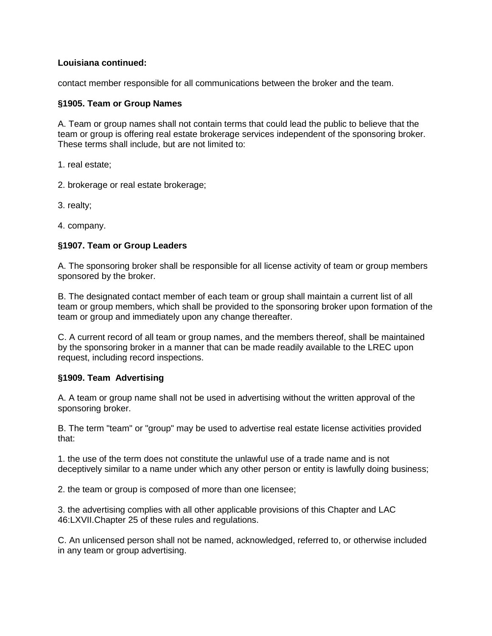### **Louisiana continued:**

contact member responsible for all communications between the broker and the team.

#### **§1905. Team or Group Names**

A. Team or group names shall not contain terms that could lead the public to believe that the team or group is offering real estate brokerage services independent of the sponsoring broker. These terms shall include, but are not limited to:

- 1. real estate;
- 2. brokerage or real estate brokerage;
- 3. realty;
- 4. company.

### **§1907. Team or Group Leaders**

A. The sponsoring broker shall be responsible for all license activity of team or group members sponsored by the broker.

B. The designated contact member of each team or group shall maintain a current list of all team or group members, which shall be provided to the sponsoring broker upon formation of the team or group and immediately upon any change thereafter.

C. A current record of all team or group names, and the members thereof, shall be maintained by the sponsoring broker in a manner that can be made readily available to the LREC upon request, including record inspections.

### **§1909. Team Advertising**

A. A team or group name shall not be used in advertising without the written approval of the sponsoring broker.

B. The term "team" or "group" may be used to advertise real estate license activities provided that:

1. the use of the term does not constitute the unlawful use of a trade name and is not deceptively similar to a name under which any other person or entity is lawfully doing business;

2. the team or group is composed of more than one licensee;

3. the advertising complies with all other applicable provisions of this Chapter and LAC 46:LXVII.Chapter 25 of these rules and regulations.

C. An unlicensed person shall not be named, acknowledged, referred to, or otherwise included in any team or group advertising.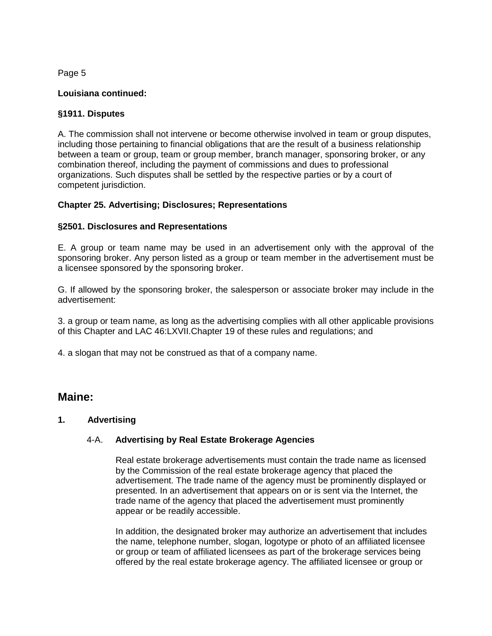Page 5

### **Louisiana continued:**

#### **§1911. Disputes**

A. The commission shall not intervene or become otherwise involved in team or group disputes, including those pertaining to financial obligations that are the result of a business relationship between a team or group, team or group member, branch manager, sponsoring broker, or any combination thereof, including the payment of commissions and dues to professional organizations. Such disputes shall be settled by the respective parties or by a court of competent jurisdiction.

#### **Chapter 25. Advertising; Disclosures; Representations**

#### **§2501. Disclosures and Representations**

E. A group or team name may be used in an advertisement only with the approval of the sponsoring broker. Any person listed as a group or team member in the advertisement must be a licensee sponsored by the sponsoring broker.

G. If allowed by the sponsoring broker, the salesperson or associate broker may include in the advertisement:

3. a group or team name, as long as the advertising complies with all other applicable provisions of this Chapter and LAC 46:LXVII.Chapter 19 of these rules and regulations; and

4. a slogan that may not be construed as that of a company name.

## **Maine:**

### **1. Advertising**

### 4-A. **Advertising by Real Estate Brokerage Agencies**

Real estate brokerage advertisements must contain the trade name as licensed by the Commission of the real estate brokerage agency that placed the advertisement. The trade name of the agency must be prominently displayed or presented. In an advertisement that appears on or is sent via the Internet, the trade name of the agency that placed the advertisement must prominently appear or be readily accessible.

In addition, the designated broker may authorize an advertisement that includes the name, telephone number, slogan, logotype or photo of an affiliated licensee or group or team of affiliated licensees as part of the brokerage services being offered by the real estate brokerage agency. The affiliated licensee or group or